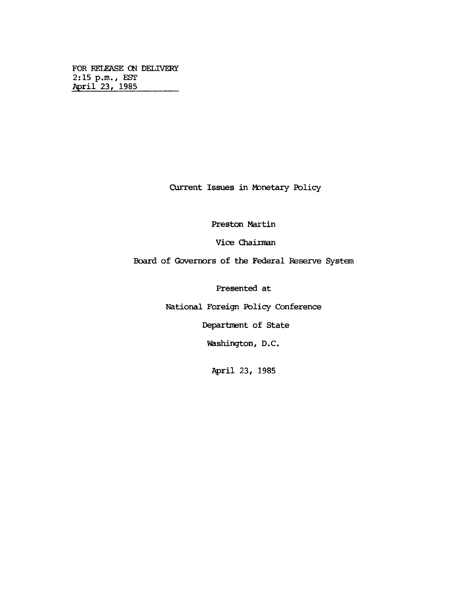**FOR RELEASE ON DELIVERY 2:15 p.m., EST April 23/ 1985\_\_\_\_\_\_\_\_**

**Current Issues in Monetary Policy**

**Preston Martin**

**Vice Chairman**

**Board of Governors of the Federal Reserve System**

**Presented at**

**National Foreign Policy Conference**

**Department of State**

**Washington, D.C.**

**April 23, 1985**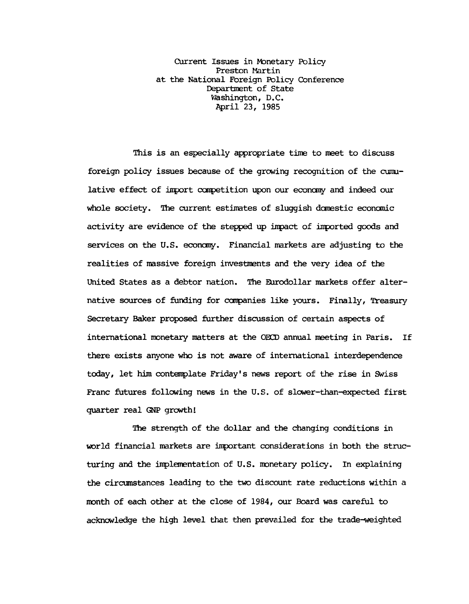**Current Issues in Monetary Policy Preston Martin at the National Foreign Policy Conference Department of State Washington, D.C. April 23, 1985**

**This is an especially appropriate time to meet to discuss foreign policy issues because of the growing recognition of the cumulative effect of iirport competition upon our economy and indeed our whole society. The current estimates of sluggish domestic economic activity are evidence of the stepped up inpact of imported goods and services on the U.S. economy. Financial markets are adjusting to the realities of massive foreign investments and the very idea of the United States as a debtor nation. The Eurodollar markets offer alternative sources of funding for companies like yours. Finally, Treasury Secretary Baker proposed further discussion of certain aspects of international monetary matters at the OECD annual meeting in Paris. If there exists anyone who is not aware of international interdependence today, let him contemplate Friday's news report of the rise in Swiss Franc futures following news in the U.S. of slcwer-than-expected first quarter real GNP growth!**

**The strength of the dollar and the changing conditions in world financial markets are important considerations in both the structuring and the implementation of U.S. nonetary policy. In explaining the circumstances leading to the two discount rate reductions within a month of each other at the close of 1984, our Board was careful to acknowledge the high level that then prevailed for the trade-weighted**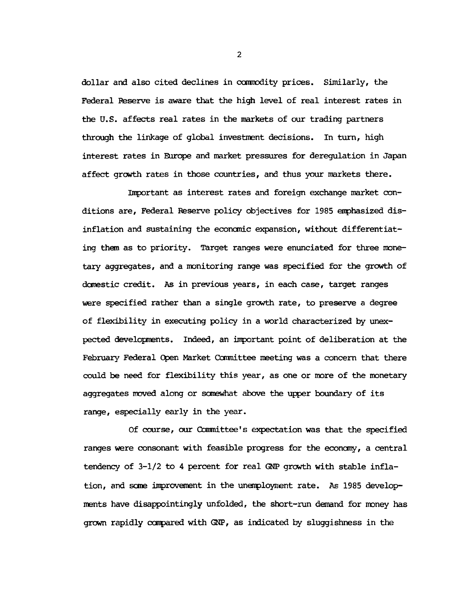**dollar and also cited declines in commodity prices. Similarly, the Federal Reserve is aware that the high level of real interest rates in the U.S. affects real rates in the markets of our trading partners through the linkage of global investment decisions. In turn, high interest rates in Europe and market pressures for deregulation in Japan affect growth rates in those countries, and thus your markets there.**

**Important as interest rates and foreign exchange market conditions are, Federal Reserve policy objectives for 1985 emphasized disinflation and sustaining the economic expansion, without differentiating them as to priority. Target ranges were enunciated for three monetary aggregates, and a monitoring range was specified for the growth of domestic credit. As in previous years, in each case, target ranges were specified rather than a single growth rate, to preserve a degree of flexibility in executing policy in a world characterized by unexpected developments. Indeed, an important point of deliberation at the February Federal Open Market Carmittee meeting was a concern that there could be need for flexibility this year, as one or more of the monetary aggregates moved along or somewhat above the upper boundary of its range, especially early in the year.**

**Of course, our Conmittee's expectation was that the specified ranges were consonant with feasible progress for the economy, a central tendency of 3-1/2 to 4 percent for real GNP growth with stable inflation, and some improvement in the unemployment rate. As 1985 developments have disappointingly unfolded, the short-run demand for money has grown rapidly conpared with GNP, as indicated by sluggishness in the**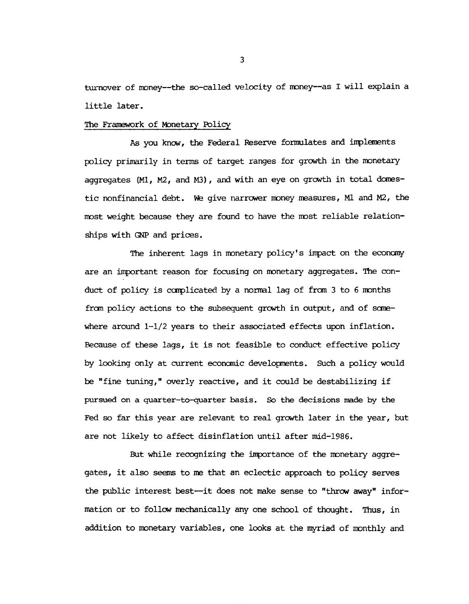**turnover of money— the so-called velocity of money— as I will explain a little later.**

## **The Framework of Monetary Policy**

**As you know, the Federal Reserve formulates and implements policy primarily in terms of target ranges for growth in the monetary aggregates (Ml, M2, and M3), and with an eye on growth in total domestic nonfinancial debt. We give narrower money measures, Ml and M2, the most weight because they are found to have the most reliable relationships with GNP and prices.**

**The inherent lags in monetary policy's impact on the economy are an important reason for focusing on monetary aggregates. The conduct of policy is complicated by a normal lag of frcm 3 to 6 months frcm policy actions to the subsequent growth in output, and of somewhere around 1-1/2 years to their associated effects upon inflation. Because of these lags, it is not feasible to conduct effective policy by looking only at current economic developments. Such a policy would be "fine tuning," overly reactive, and it could be destabilizing if pursued on a quarter-to-quarter basis. So the decisions made by the Fed so far this year are relevant to real growth later in the year, but are not likely to affect disinflation until after mid-1986.**

**But while recognizing the importance of the monetary aggregates, it also seems to me that an eclectic approach to policy serves the public interest best— it does not make sense to "throw away" information or to follow mechanically any one school of thought. Thus, in addition to monetary variables, one looks at the myriad of monthly and**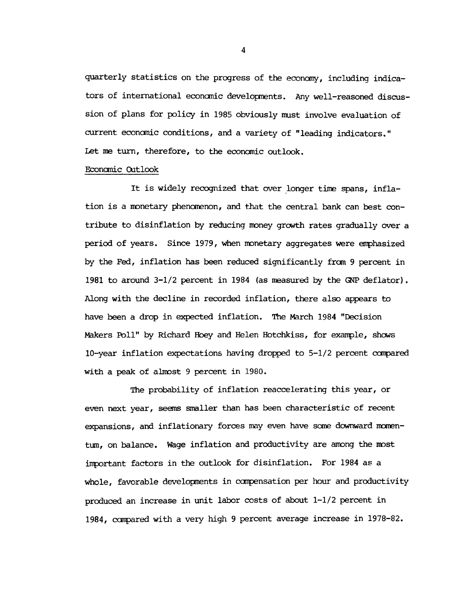quarterly statistics on the progress of the economy, including indica**tors of international economic developments. Any well-reasoned discussion of plans for policy in 1985 obviously must involve evaluation of current economic conditions, and a variety of "leading indicators." Let me turn, therefore, to the economic outlook.**

## **Economic Outlook**

**It is widely recognized that over longer time spans, inflation is a monetary phenomenon, and that the central bank can best contribute to disinflation by reducing money growth rates gradually over a period of years. Since 1979, when monetary aggregates were emphasized by the Fed, inflation has been reduced significantly from 9 percent in 1981 to around 3-1/2 percent in 1984 (as measured by the GNP deflator). Along with the decline in recorded inflation, there also appears to have been a drop in expected inflation. The March 1984 "Decision Makers Poll" by Richard Hoey and Helen Hotchkiss, for example, shews 10-year inflation expectations having dropped to 5-1/2 percent compared with a peak of almost 9 percent in 1980.**

**Hie probability of inflation reaccelerating this year, or even next year, seems smaller than has been characteristic of recent** expansions, and inflationary forces may even have some downward momen**tum, on balance. Wäge inflation and productivity are among the most important factors in the outlook for disinflation. For 1984 as a whole, favorable developments in compensation per hour and productivity produced an increase in unit labor costs of about 1-1/2 percent in 1984, compared with a very high 9 percent average increase in 1978-82.**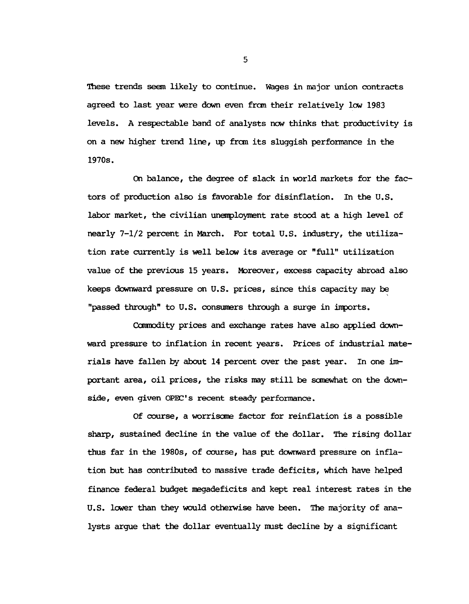**These trends seem likely to continue. Wages in major union contracts agreed to last year were down even from their relatively low 1983 levels. A respectable band of analysts now thinks that productivity is on a new higher trend line, up frcrn its sluggish performance in the 1970s.**

**On balance, the degree of slack in world markets for the factors of production also is favorable for disinflation. In the U.S. labor market, the civilian unemployment rate stood at a high level of nearly 7-1/2 percent in March. For total U.S. industry, the utilization rate currently is well below its average or "full" utilization value of the previous 15 years. Moreover, excess capacity abroad also keeps downward pressure on U.S. prices, since this capacity may be "passed through" to U.S. consumers through a surge in imports.**

**Ccranodity prices and exchange rates have also applied downward pressure to inflation in recent years. Prices of industrial materials have fallen by about 14 percent over the past year. In one important area, oil prices, the risks may still be somewhat on the downside, even given OPEC's recent steady performance.**

**Of course, a worrisome factor for reinflation is a possible sharp, sustained decline in the value of the dollar. The rising dollar thus far in the 1980s, of course, has put downward pressure on inflation but has contributed to massive trade deficits, which have helped finance federal budget megadeficits and kept real interest rates in the U.S. lower than they would otherwise have been. The majority of analysts argue that the dollar eventually must decline by a significant**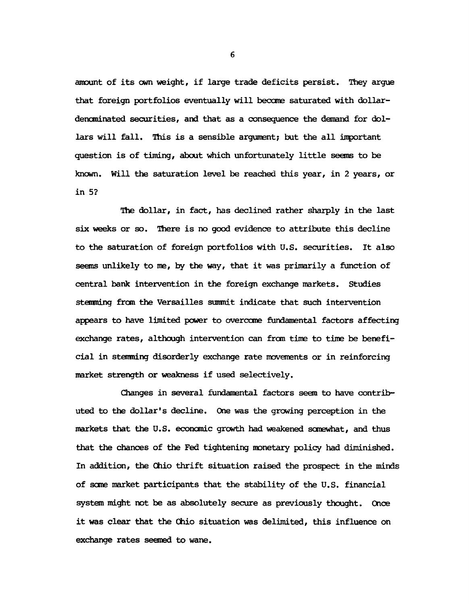**amount of its own weight, if large trade deficits persist. They argue that foreign portfolios eventually will become saturated with dollardencminated securities, and that as a consequence the demand for dol**lars will fall. This is a sensible argument; but the all important **question is of timing, about which unfortunately little seems to be known. Will the saturation level be reached this year, in 2 years, or in 5?**

**The dollar, in fact, has declined rather sharply in the last six weeks or so. There is no good evidence to attribute this decline to the saturation of foreign portfolios with U.S. securities. It also seems unlikely to me, by the way, that it was primarily a function of central bank intervention in the foreign exchange markets. Studies stemming from the Versailles summit indicate that such intervention appears to have limited power to overcome fundamental factors affecting exchange rates, although intervention can from time to time be beneficial in stemming disorderly exchange rate movements or in reinforcing market strength or weakness if used selectively.**

**Changes in several fundamental factors seem to have contributed to the dollar's decline. One was the growing perception in the markets that the U.S. economic growth had weakened somewhat, and thus that the chances of the Fed tightening monetary policy had diminished. In addition, the Ohio thrift situation raised the prospect in the minds of some market participants that the stability of the U.S. financial system might not be as absolutely secure as previously thought. Once it was clear that the Ohio situation was delimited, this influence on exchange rates seemed to wane.**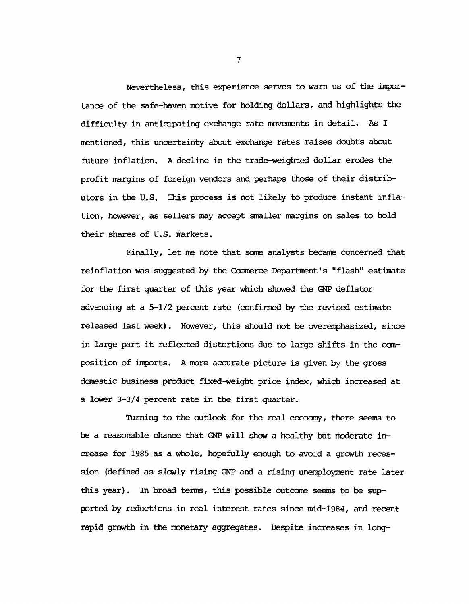**Nevertheless, this experience serves to warn us of the importance of the safe-haven motive for holding dollars, and highlights the difficulty in anticipating exchange rate movements in detail. As I mentioned, this uncertainty about exchange rates raises doubts about future inflation. A decline in the trade-weighted dollar erodes the profit margins of foreign vendors and perhaps those of their distributors in the U.S. This process is not likely to produce instant inflation, however, as sellers may accept smaller margins on sales to hold their shares of U.S. markets.**

**Finally, let me note that some analysts became concerned that** reinflation was suggested by the Commerce Department's "flash" estimate **for the first quarter of this year which showed the OSIP deflator advancing at a 5-1/2 percent rate (confirmed by the revised estimate released last week). However, this should not be overemphasized, since in large part it reflected distortions due to large shifts in the composition of inports. A more accurate picture is given by the gross domestic business product fixed-weight price index, which increased at a lower 3-3/4 percent rate in the first quarter.**

**Turning to the outlook for the real economy, there seems to** be a reasonable chance that GNP will show a healthy but moderate in**crease for 1985 as a whole, hopefully enough to avoid a growth recession (defined as slowly rising GNP and a rising unemployment rate later this year). In broad terms, this possible outcome seems to be supported by reductions in real interest rates since mid-1984, and recent rapid growth in the monetary aggregates. Despite increases in long**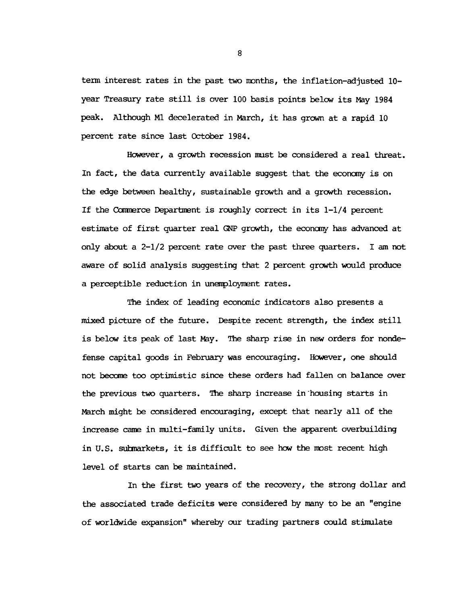**term interest rates in the past two months, the inflation-adjusted 10 year Treasury rate still is over 100 basis points below its May 1984 peak. Although Ml decelerated in March, it has grown at a rapid 10 percent rate since last October 1984.**

**However, a growth recession must be considered a real threat. In fact, the data currently available suggest that the economy is on the edge between healthy, sustainable growth and a growth recession. If the Coranerce Department is roughly correct in its 1-1/4 percent estimate of first quarter real GNP growth, the economy has advanced at only about a 2-1/2 percent rate over the past three quarters. I am not aware of solid analysis suggesting that 2 percent growth would produce a perceptible reduction in unemployment rates.**

**Hie index of leading economic indicators also presents a mixed picture of the future. Despite recent strength, the index still is below its peak of last May. The sharp rise in new orders for nondefense capital goods in February was encouraging. However, one should not become too optimistic since these orders had fallen on balance over the previous two quarters. Hie sharp increase in housing starts in March might be considered encouraging, except that nearly all of the increase came in multi-family units. Given the apparent overbuilding in U.S. submarkets, it is difficult to see how the most recent high level of starts can be maintained.**

**In the first two years of the recovery, the strong dollar and the associated trade deficits were considered by many to be an "engine of worldwide expansion" whereby our trading partners could stimulate**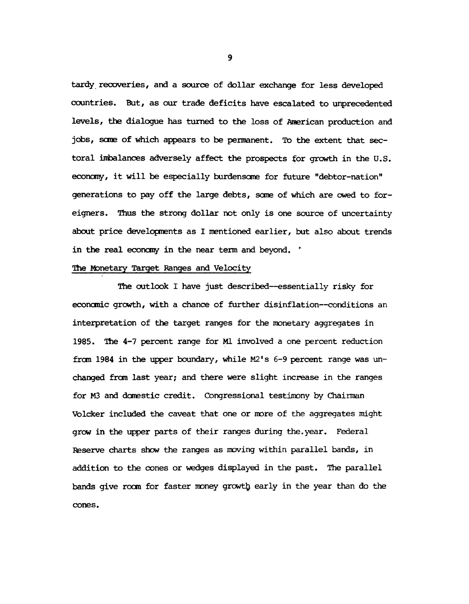**tardy recoveries, and a source of dollar exchange for less developed countries. But, as our trade deficits have escalated to unprecedented levels, the dialogue has turned to the loss of American production and jobs, seme of which appears to be permanent. To the extent that sectoral imbalances adversely affect the prospects for growth in the U.S. economy, it will be especially burdensome for future "debtor-nation" generations to pay off the large debts, seme of which are owed to foreigners. Thus the strong dollar not only is one source of uncertainty about price developments as I mentioned earlier, but also about trends in the real economy in the near term and beyond. \***

## **The Monetary Target Ranges and Velocity**

**The outlook I have just described— essentially risky for economic growth, with a chance of further disinflation— conditions an interpretation of the target ranges for the monetary aggregates in 1985. The 4-7 percent range for Ml involved a one percent reduction from 1984 in the upper boundary, while M2's 6-9 percent range was unchanged from last year; and there were slight increase in the ranges for M3 and domestic credit. Congressional testimony by Chairman Volcker included the caveat that one or more of the aggregates might grow in the upper parts of their ranges during the.year. Federal Reserve charts show the ranges as moving within parallel bands, in addition to the cones or wedges displayed in the past. The parallel bands give room for faster money grewt^ early in the year than do the cones.**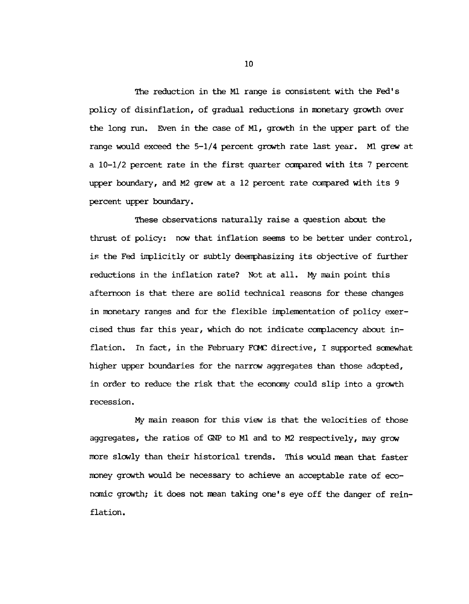**The reduction in the Ml range is consistent with the Fed's policy of disinflation, of gradual reductions in monetary growth over the long run. Even in the case of Ml, growth in the upper part of the range would exceed the 5-1/4 percent growth rate last year. Ml grew at a 10-1/2 percent rate in the first quarter compared with its 7 percent upper boundary, and M2 grew at a 12 percent rate compared with its 9 percent upper boundary.**

**These observations naturally raise a question about the thrust of policy: now that inflation seems to be better under control, is the Fed implicitly or subtly deemphasizing its objective of further reductions in the inflation rate? Not at all. My main point this afternoon is that there are solid technical reasons for these changes in monetary ranges and for the flexible implementation of policy exercised thus far this year, which do not indicate complacency about inflation. In fact, in the February FCMC directive, I supported somewhat higher upper boundaries for the narrow aggregates than those adopted, in order to reduce the risk that the economy could slip into a growth recession.**

**My main reason for this view is that the velocities of those aggregates, the ratios of GNP to Ml and to M2 respectively, may grow more slowly than their historical trends. This would mean that faster money growth would be necessary to achieve an acceptable rate of economic growth; it does not mean taking one's eye off the danger of reinflation.**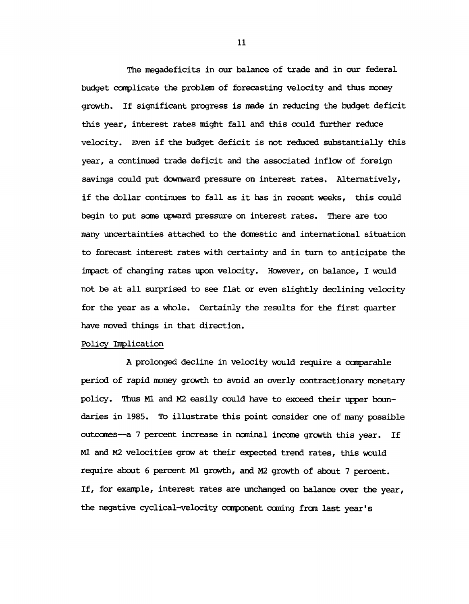**The megadeficits in our balance of trade and in our federal budget complicate the problem of forecasting velocity and thus money growth. If significant progress is made in reducing the budget deficit this year, interest rates might fall and this could further reduce velocity. Even if the budget deficit is not reduced substantially this year, a continued trade deficit and the associated inflow of foreign savings could put downward pressure on interest rates. Alternatively, if the dollar continues to fall as it has in recent weeks, this could begin to put sane upward pressure on interest rates. There are too many uncertainties attached to the domestic and international situation to forecast interest rates with certainty and in turn to anticipate the impact of changing rates upon velocity. However, on balance, I would not be at all surprised to see flat or even slightly declining velocity for the year as a whole. Certainly the results for the first quarter have moved things in that direction.**

## **Policy Implication**

**A prolonged decline in velocity would require a comparable period of rapid money growth to avoid an overly contractionary monetary policy. Thus Ml and M2 easily could have to exceed their upper boundaries in 1985. To illustrate this point consider one of many possible outcomes— a 7 percent increase in nominal income growth this year. If Ml and M2 velocities grow at their expected trend rates, this would require about 6 percent Ml growth, and M2 growth of about 7 percent. If, for example, interest rates are unchanged on balance over the year, the negative cyclical-velocity component coming from last year's**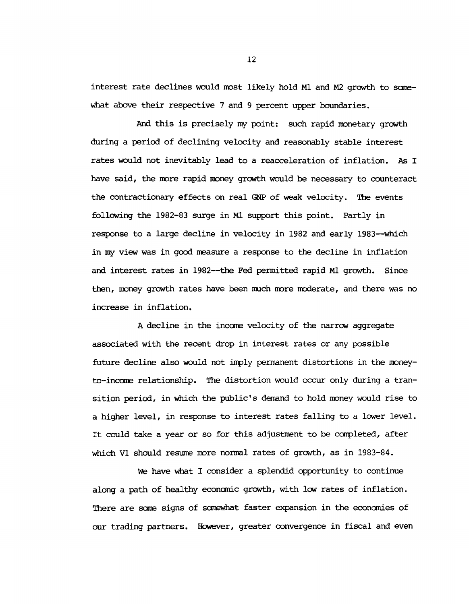interest rate declines would most likely hold Ml and M2 growth to some**what above their respective 7 and 9 percent upper boundaries.**

**And this is precisely my point: such rapid monetary growth during a period of declining velocity and reasonably stable interest rates would not inevitably lead to a reacceleration of inflation. As I have said, the more rapid money growth would be necessary to counteract the contractionary effects on real GNP of weak velocity. The events following the 1982-83 surge in Ml support this point. Partly in response to a large decline in velocity in 1982 and early 1983— which in my view was in good measure a response to the decline in inflation and interest rates in 1982— the Fed permitted rapid Ml growth. Since then, money growth rates have been much more moderate, and there was no increase in inflation.**

**A decline in the income velocity of the narrow aggregate associated with the recent drop in interest rates or any possible future decline also would not imply permanent distortions in the moneyto-income relationship. The distortion would occur only during a transition period, in which the public's demand to hold money would rise to a higher level, in response to interest rates falling to a lower level. It could take a year or so for this adjustment to be completed, after which VI should resume more normal rates of growth, as in 1983-84.**

**We have what I consider a splendid opportunity to continue along a path of healthy economic growth, with low rates of inflation. There are some signs of somewhat faster expansion in the economies of our trading partners. However, greater convergence in fiscal and even**